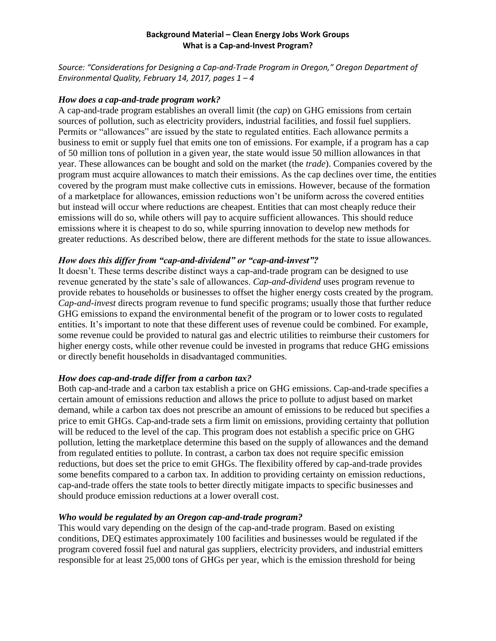## **Background Material – Clean Energy Jobs Work Groups What is a Cap-and-Invest Program?**

*Source: "Considerations for Designing a Cap-and-Trade Program in Oregon," Oregon Department of Environmental Quality, February 14, 2017, pages 1 – 4*

## *How does a cap-and-trade program work?*

A cap-and-trade program establishes an overall limit (the *cap*) on GHG emissions from certain sources of pollution, such as electricity providers, industrial facilities, and fossil fuel suppliers. Permits or "allowances" are issued by the state to regulated entities. Each allowance permits a business to emit or supply fuel that emits one ton of emissions. For example, if a program has a cap of 50 million tons of pollution in a given year, the state would issue 50 million allowances in that year. These allowances can be bought and sold on the market (the *trade*). Companies covered by the program must acquire allowances to match their emissions. As the cap declines over time, the entities covered by the program must make collective cuts in emissions. However, because of the formation of a marketplace for allowances, emission reductions won't be uniform across the covered entities but instead will occur where reductions are cheapest. Entities that can most cheaply reduce their emissions will do so, while others will pay to acquire sufficient allowances. This should reduce emissions where it is cheapest to do so, while spurring innovation to develop new methods for greater reductions. As described below, there are different methods for the state to issue allowances.

# *How does this differ from "cap-and-dividend" or "cap-and-invest"?*

It doesn't. These terms describe distinct ways a cap-and-trade program can be designed to use revenue generated by the state's sale of allowances. *Cap-and-dividend* uses program revenue to provide rebates to households or businesses to offset the higher energy costs created by the program. *Cap-and-invest* directs program revenue to fund specific programs; usually those that further reduce GHG emissions to expand the environmental benefit of the program or to lower costs to regulated entities. It's important to note that these different uses of revenue could be combined. For example, some revenue could be provided to natural gas and electric utilities to reimburse their customers for higher energy costs, while other revenue could be invested in programs that reduce GHG emissions or directly benefit households in disadvantaged communities.

# *How does cap-and-trade differ from a carbon tax?*

Both cap-and-trade and a carbon tax establish a price on GHG emissions. Cap-and-trade specifies a certain amount of emissions reduction and allows the price to pollute to adjust based on market demand, while a carbon tax does not prescribe an amount of emissions to be reduced but specifies a price to emit GHGs. Cap-and-trade sets a firm limit on emissions, providing certainty that pollution will be reduced to the level of the cap. This program does not establish a specific price on GHG pollution, letting the marketplace determine this based on the supply of allowances and the demand from regulated entities to pollute. In contrast, a carbon tax does not require specific emission reductions, but does set the price to emit GHGs. The flexibility offered by cap-and-trade provides some benefits compared to a carbon tax. In addition to providing certainty on emission reductions, cap-and-trade offers the state tools to better directly mitigate impacts to specific businesses and should produce emission reductions at a lower overall cost.

## *Who would be regulated by an Oregon cap-and-trade program?*

This would vary depending on the design of the cap-and-trade program. Based on existing conditions, DEQ estimates approximately 100 facilities and businesses would be regulated if the program covered fossil fuel and natural gas suppliers, electricity providers, and industrial emitters responsible for at least 25,000 tons of GHGs per year, which is the emission threshold for being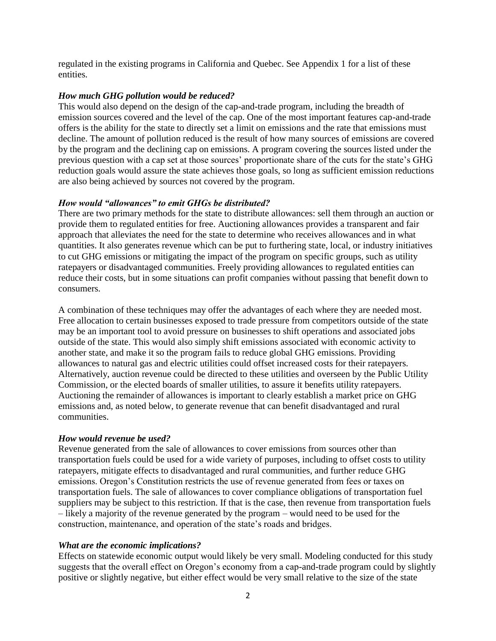regulated in the existing programs in California and Quebec. See Appendix 1 for a list of these entities.

## *How much GHG pollution would be reduced?*

This would also depend on the design of the cap-and-trade program, including the breadth of emission sources covered and the level of the cap. One of the most important features cap-and-trade offers is the ability for the state to directly set a limit on emissions and the rate that emissions must decline. The amount of pollution reduced is the result of how many sources of emissions are covered by the program and the declining cap on emissions. A program covering the sources listed under the previous question with a cap set at those sources' proportionate share of the cuts for the state's GHG reduction goals would assure the state achieves those goals, so long as sufficient emission reductions are also being achieved by sources not covered by the program.

## *How would "allowances" to emit GHGs be distributed?*

There are two primary methods for the state to distribute allowances: sell them through an auction or provide them to regulated entities for free. Auctioning allowances provides a transparent and fair approach that alleviates the need for the state to determine who receives allowances and in what quantities. It also generates revenue which can be put to furthering state, local, or industry initiatives to cut GHG emissions or mitigating the impact of the program on specific groups, such as utility ratepayers or disadvantaged communities. Freely providing allowances to regulated entities can reduce their costs, but in some situations can profit companies without passing that benefit down to consumers.

A combination of these techniques may offer the advantages of each where they are needed most. Free allocation to certain businesses exposed to trade pressure from competitors outside of the state may be an important tool to avoid pressure on businesses to shift operations and associated jobs outside of the state. This would also simply shift emissions associated with economic activity to another state, and make it so the program fails to reduce global GHG emissions. Providing allowances to natural gas and electric utilities could offset increased costs for their ratepayers. Alternatively, auction revenue could be directed to these utilities and overseen by the Public Utility Commission, or the elected boards of smaller utilities, to assure it benefits utility ratepayers. Auctioning the remainder of allowances is important to clearly establish a market price on GHG emissions and, as noted below, to generate revenue that can benefit disadvantaged and rural communities.

## *How would revenue be used?*

Revenue generated from the sale of allowances to cover emissions from sources other than transportation fuels could be used for a wide variety of purposes, including to offset costs to utility ratepayers, mitigate effects to disadvantaged and rural communities, and further reduce GHG emissions. Oregon's Constitution restricts the use of revenue generated from fees or taxes on transportation fuels. The sale of allowances to cover compliance obligations of transportation fuel suppliers may be subject to this restriction. If that is the case, then revenue from transportation fuels – likely a majority of the revenue generated by the program – would need to be used for the construction, maintenance, and operation of the state's roads and bridges.

# *What are the economic implications?*

Effects on statewide economic output would likely be very small. Modeling conducted for this study suggests that the overall effect on Oregon's economy from a cap-and-trade program could by slightly positive or slightly negative, but either effect would be very small relative to the size of the state